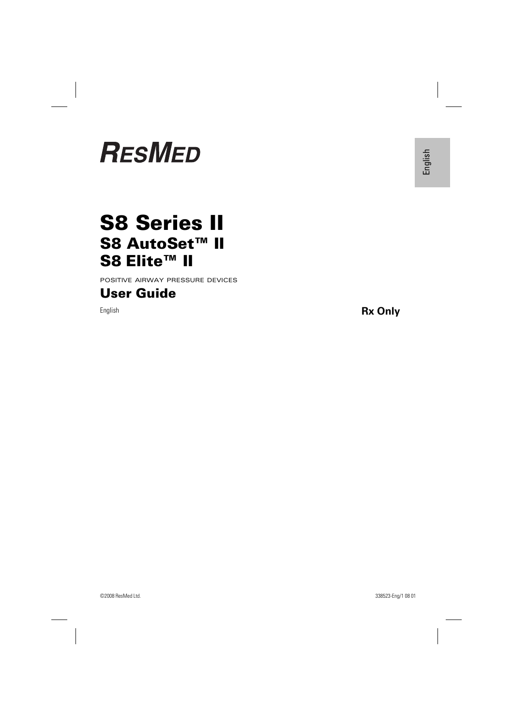# **RESMED**

## **S8 Series II S8 AutoSet™ II S8 Elite™ II**

POSITIVE AIRWAY PRESSURE DEVICES

### **User Guide**

English **Rx Only**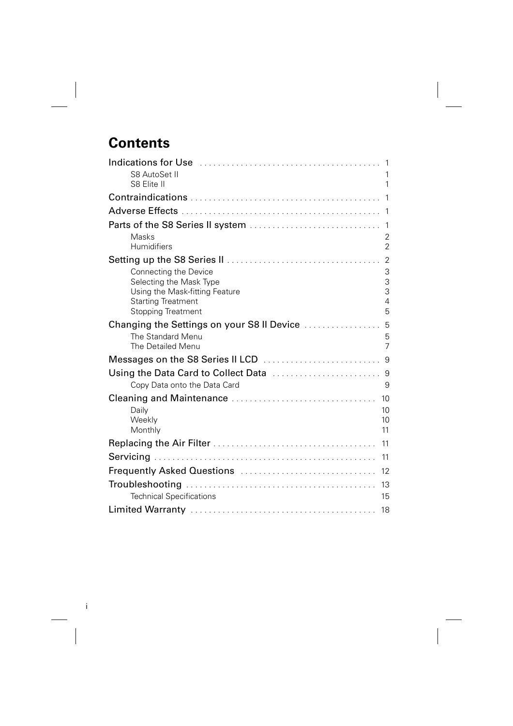## **Contents**

| Indications for Use Matter Communications and the Use of Allender Communications and<br>$\mathbf{1}$ |
|------------------------------------------------------------------------------------------------------|
| S8 AutoSet II<br>1<br>S8 Elite II<br>1                                                               |
|                                                                                                      |
|                                                                                                      |
|                                                                                                      |
| Masks<br>2                                                                                           |
| Humidifiers<br>$\overline{2}$                                                                        |
| 2                                                                                                    |
| 3<br>Connecting the Device                                                                           |
| 3<br>Selecting the Mask Type<br>3<br>Using the Mask-fitting Feature                                  |
| <b>Starting Treatment</b><br>$\overline{4}$                                                          |
| 5<br><b>Stopping Treatment</b>                                                                       |
|                                                                                                      |
| The Standard Menu<br>5                                                                               |
| $\overline{7}$<br>The Detailed Menu                                                                  |
|                                                                                                      |
|                                                                                                      |
| Copy Data onto the Data Card<br>9                                                                    |
| 10                                                                                                   |
| Daily<br>10                                                                                          |
| Weekly<br>10                                                                                         |
| Monthly<br>11                                                                                        |
| 11                                                                                                   |
| 11                                                                                                   |
| Frequently Asked Questions<br>12                                                                     |
| 13                                                                                                   |
| <b>Technical Specifications</b><br>15                                                                |
| 18                                                                                                   |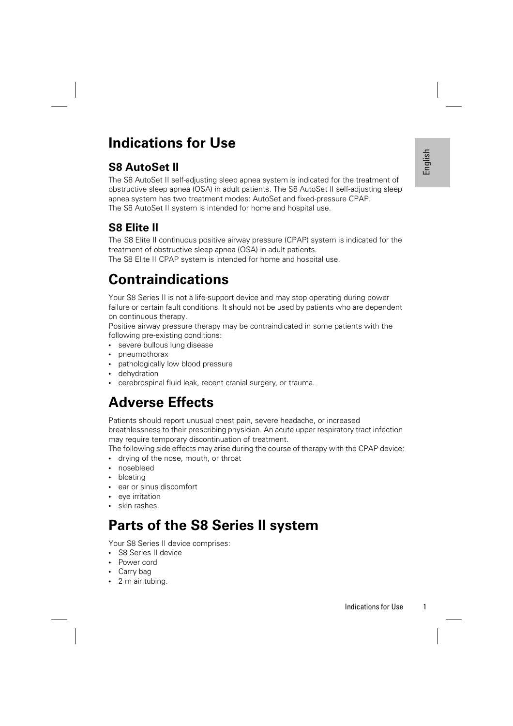## **Indications for Use**

### **S8 AutoSet II**

Individed the treatment of<br>
If-adjusting sleep<br>
Indicated for the<br>
Indicated for the<br>
during power<br>
indicated for the<br>
during power<br>
ients with the<br>
assed<br>
ory tract infection<br>
the CPAP device:<br>
Indications for Use The S8 AutoSet II self-adjusting sleep apnea system is indicated for the treatment of obstructive sleep apnea (OSA) in adult patients. The S8 AutoSet II self-adjusting sleep apnea system has two treatment modes: AutoSet and fixed-pressure CPAP. The S8 AutoSet II system is intended for home and hospital use.

## **S8 Elite II**

The S8 Elite II continuous positive airway pressure (CPAP) system is indicated for the treatment of obstructive sleep apnea (OSA) in adult patients.

The S8 Elite II CPAP system is intended for home and hospital use.

## **Contraindications**

Your S8 Series II is not a life-support device and may stop operating during power failure or certain fault conditions. It should not be used by patients who are dependent on continuous therapy.

Positive airway pressure therapy may be contraindicated in some patients with the following pre-existing conditions:

- severe bullous lung disease
- pneumothorax
- pathologically low blood pressure
- dehydration
- cerebrospinal fluid leak, recent cranial surgery, or trauma.

## **Adverse Effects**

Patients should report unusual chest pain, severe headache, or increased breathlessness to their prescribing physician. An acute upper respiratory tract infection may require temporary discontinuation of treatment.

The following side effects may arise during the course of therapy with the CPAP device:

- drying of the nose, mouth, or throat
- nosebleed
- bloating
- ear or sinus discomfort
- eve irritation
- skin rashes.

## **Parts of the S8 Series II system**

Your S8 Series II device comprises:

- S8 Series II device
- Power cord
- Carry bag
- 2 m air tubing.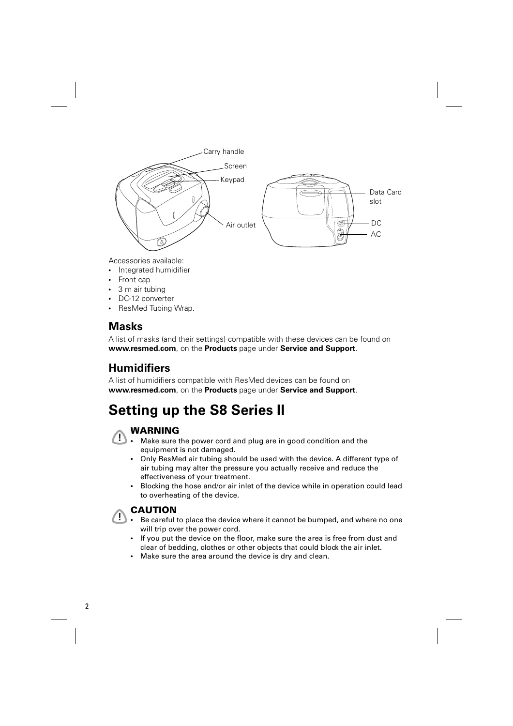

Accessories available:

- Integrated humidifier
- Front cap
- 3 m air tubing
- DC-12 converter
- ResMed Tubing Wrap.

### **Masks**

A list of masks (and their settings) compatible with these devices can be found on **www.resmed.com**, on the **Products** page under **Service and Support**.

### **Humidifiers**

A list of humidifiers compatible with ResMed devices can be found on **www.resmed.com**, on the **Products** page under **Service and Support**.

## **Setting up the S8 Series II**



- **! WARNING** Make sure the power cord and plug are in good condition and the equipment is not damaged.
	- Only ResMed air tubing should be used with the device. A different type of air tubing may alter the pressure you actually receive and reduce the effectiveness of your treatment.
	- Blocking the hose and/or air inlet of the device while in operation could lead to overheating of the device.



## **1. CAUTION**

- Be careful to place the device where it cannot be bumped, and where no one will trip over the power cord.
	- If you put the device on the floor, make sure the area is free from dust and clear of bedding, clothes or other objects that could block the air inlet.
	- Make sure the area around the device is dry and clean.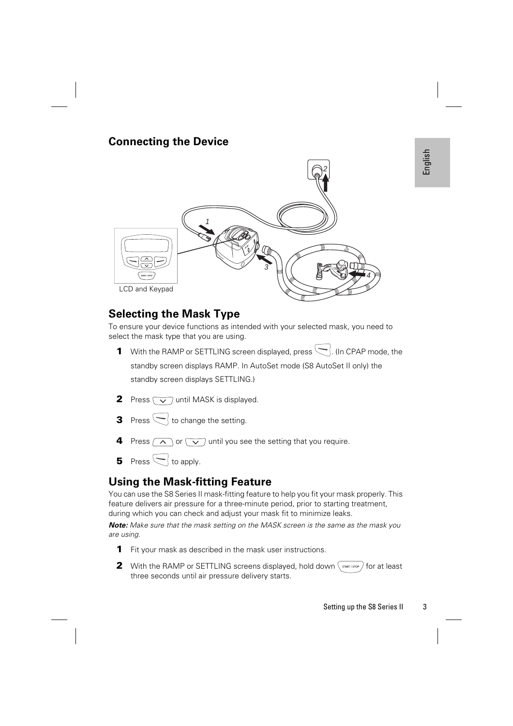### **Connecting the Device**



### **Selecting the Mask Type**

To ensure your device functions as intended with your selected mask, you need to select the mask type that you are using.

- **1** With the RAMP or SETTLING screen displayed, press  $\left\lfloor . \right\rfloor$  (In CPAP mode, the standby screen displays RAMP. In AutoSet mode (S8 AutoSet II only) the standby screen displays SETTLING.)
- **2** Press  $\sqrt{\sqrt{2}}$  until MASK is displayed.
- **3** Press  $\left\lfloor \frac{1}{10} \right\rfloor$  to change the setting.
- **4** Press  $\alpha$  or  $\alpha$  until you see the setting that you require.
- **5** Press  $\bigcap$  to apply.

## **Using the Mask-fitting Feature**

You can use the S8 Series II mask-fitting feature to help you fit your mask properly. This feature delivers air pressure for a three-minute period, prior to starting treatment, during which you can check and adjust your mask fit to minimize leaks.

**Note:** Make sure that the mask setting on the MASK screen is the same as the mask you are using.

- **1** Fit your mask as described in the mask user instructions.
- **2** With the RAMP or SETTLING screens displayed, hold down  $\int$  state is stop  $\int$  for at least three seconds until air pressure delivery starts.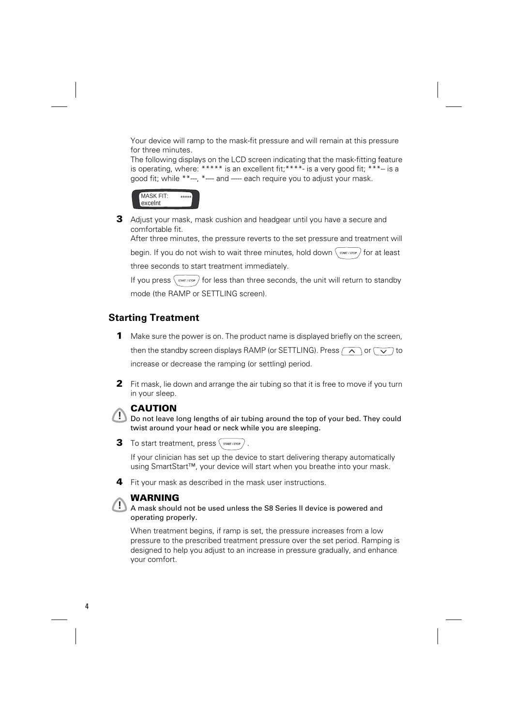Your device will ramp to the mask-fit pressure and will remain at this pressure for three minutes.

The following displays on the LCD screen indicating that the mask-fitting feature is operating, where:  $*****$  is an excellent fit;  $***$ - is a very good fit;  $***-$  is a good fit; while \*\*---, \*---- and ----- each require you to adjust your mask.



**3** Adjust your mask, mask cushion and headgear until you have a secure and comfortable fit.

After three minutes, the pressure reverts to the set pressure and treatment will

begin. If you do not wish to wait three minutes, hold down  $\langle \frac{1}{2}$  start/store  $\rangle$  for at least three seconds to start treatment immediately.

If you press  $\langle \frac{1}{\sqrt{2}} \cos \theta \rangle$  for less than three seconds, the unit will return to standby mode (the RAMP or SETTLING screen).

### **Starting Treatment**

- **1** Make sure the power is on. The product name is displayed briefly on the screen, then the standby screen displays RAMP (or SETTLING). Press  $\sim$  or  $\sim$  to increase or decrease the ramping (or settling) period.
- **2** Fit mask, lie down and arrange the air tubing so that it is free to move if you turn in your sleep.

**! CAUTION** Do not leave long lengths of air tubing around the top of your bed. They could twist around your head or neck while you are sleeping.

**3** To start treatment, press  $\langle \frac{1}{\text{SIAR} \cdot \text{STOP}} \rangle$ 

If your clinician has set up the device to start delivering therapy automatically using SmartStart™, your device will start when you breathe into your mask.



**! WARNING** A mask should not be used unless the S8 Series II device is powered and operating properly.

When treatment begins, if ramp is set, the pressure increases from a low pressure to the prescribed treatment pressure over the set period. Ramping is designed to help you adjust to an increase in pressure gradually, and enhance your comfort.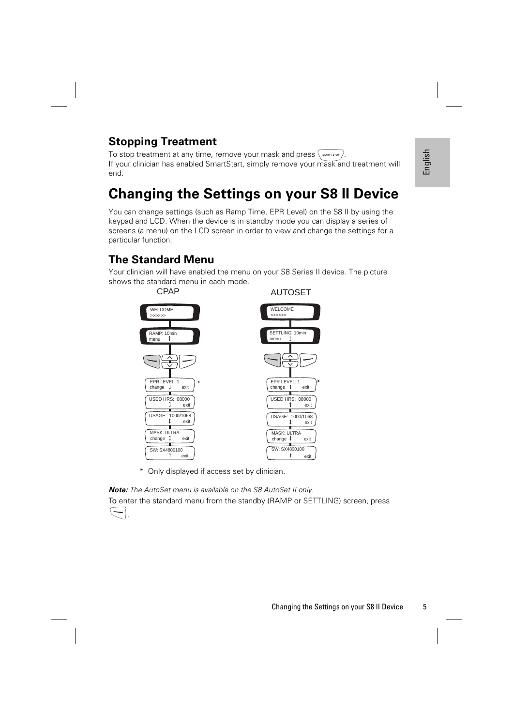## **Stopping Treatment**

To stop treatment at any time, remove your mask and press  $\langle$  START / STOR T If your clinician has enabled SmartStart, simply remove your mask and treatment will end.

## **Changing the Settings on your S8 II Device**

You can change settings (such as Ramp Time, EPR Level) on the S8 II by using the keypad and LCD. When the device is in standby mode you can display a series of screens (a menu) on the LCD screen in order to view and change the settings for a particular function.

### **The Standard Menu**

Your clinician will have enabled the menu on your S8 Series II device. The picture shows the standard menu in each mode.



\* Only displayed if access set by clinician.

*Note:* The AutoSet menu is available on the S8 AutoSet II only.

To enter the standard menu from the standby (RAMP or SETTLING) screen, press



.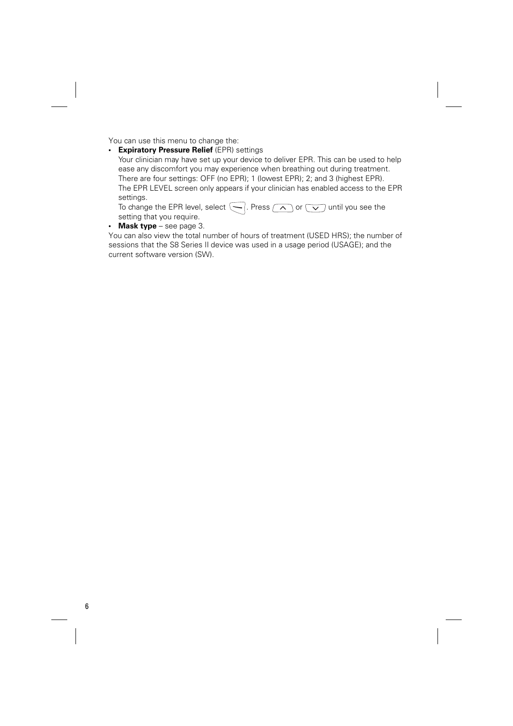You can use this menu to change the:

• **Expiratory Pressure Relief** (EPR) settings

Your clinician may have set up your device to deliver EPR. This can be used to help ease any discomfort you may experience when breathing out during treatment. There are four settings: OFF (no EPR); 1 (lowest EPR); 2; and 3 (highest EPR). The EPR LEVEL screen only appears if your clinician has enabled access to the EPR settings.

To change the EPR level, select  $\bigodot$ . Press  $\bigcirc$  or  $\bigcirc$  until you see the setting that you require.

• **Mask type** – see page 3.

You can also view the total number of hours of treatment (USED HRS); the number of sessions that the S8 Series II device was used in a usage period (USAGE); and the current software version (SW).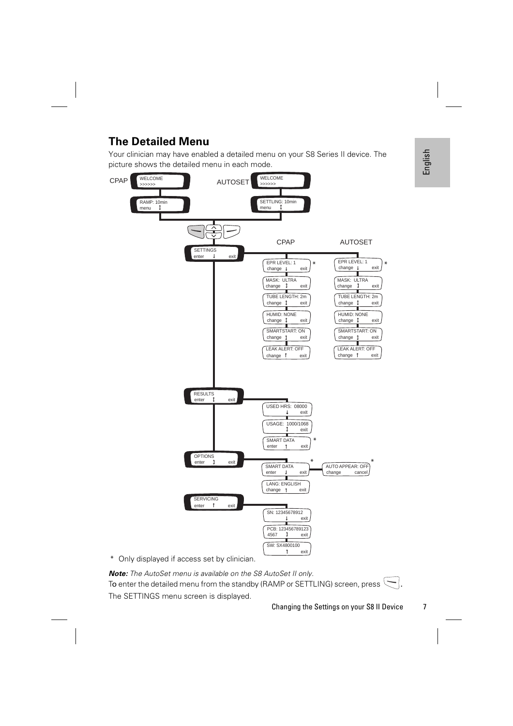## **The Detailed Menu**

Your clinician may have enabled a detailed menu on your S8 Series II device. The picture shows the detailed menu in each mode.



\* Only displayed if access set by clinician.

*Note:* The AutoSet menu is available on the S8 AutoSet II only. To enter the detailed menu from the standby (RAMP or SETTLING) screen, press  $\setminus$ . The SETTINGS menu screen is displayed.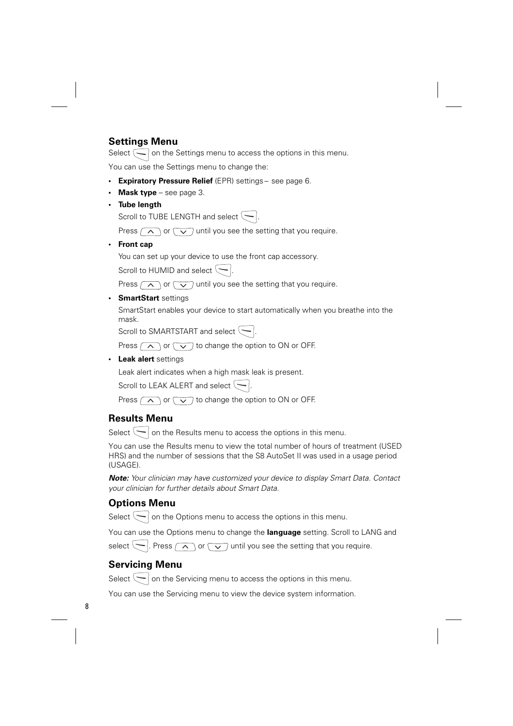### **Settings Menu**

Select  $\bigcirc$  on the Settings menu to access the options in this menu.

You can use the Settings menu to change the:

- **Expiratory Pressure Relief** (EPR) settings see page 6.
- **Mask type** see page 3.
- **Tube length**

Scroll to TUBE LENGTH and select  $\leftarrow$  .

Press  $\circ$  or  $\circ$  until you see the setting that you require.

• **Front cap**

You can set up your device to use the front cap accessory.

Scroll to HUMID and select  $\leftarrow$ .

Press  $\sim$  or  $\sim$  until you see the setting that you require.

### • **SmartStart** settings

SmartStart enables your device to start automatically when you breathe into the mask.

Scroll to SMARTSTART and select  $\leftarrow$ 

Press  $\left(\sqrt{\phantom{a}}\right)$  or  $\left(\sqrt{\phantom{a}}\right)$  to change the option to ON or OFF.

• **Leak alert** settings

Leak alert indicates when a high mask leak is present.

Scroll to LEAK ALERT and select  $\leftarrow$ .

Press  $\left(\sqrt{\phantom{a}}\right)$  or  $\left(\sqrt{\phantom{a}}\right)$  to change the option to ON or OFF.

### **Results Menu**

Select  $\left\langle \bullet \right\rangle$  on the Results menu to access the options in this menu.

You can use the Results menu to view the total number of hours of treatment (USED HRS) and the number of sessions that the S8 AutoSet II was used in a usage period (USAGE).

*Note:* Your clinician may have customized your device to display Smart Data. Contact your clinician for further details about Smart Data.

### **Options Menu**

Select  $\left\lfloor -\right\rfloor$  on the Options menu to access the options in this menu.

You can use the Options menu to change the **language** setting. Scroll to LANG and

select  $\left\lfloor -\right\rfloor$ . Press  $\left\lfloor -\right\rfloor$  or  $\left\lfloor -\right\rfloor$  until you see the setting that you require.

### **Servicing Menu**

Select  $\setminus$  on the Servicing menu to access the options in this menu.

You can use the Servicing menu to view the device system information.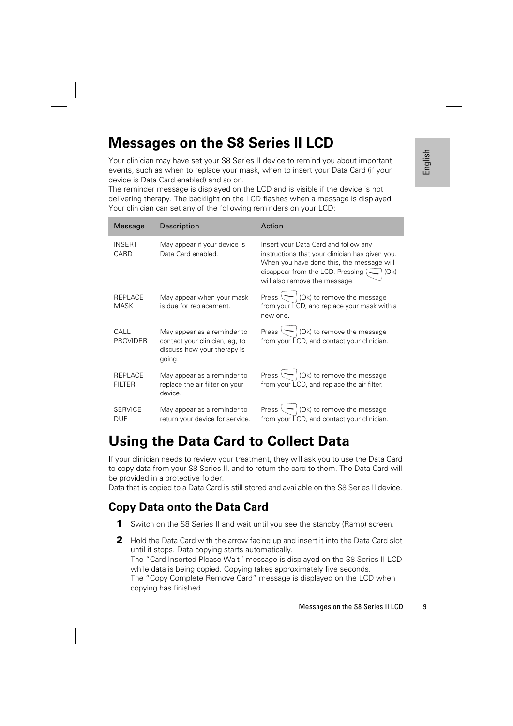## **Messages on the S8 Series II LCD**

| Your clinician may have set your S8 Series II device to remind you about important<br>events, such as when to replace your mask, when to insert your Data Card (if your<br>device is Data Card enabled) and so on.<br>The reminder message is displayed on the LCD and is visible if the device is not<br>delivering therapy. The backlight on the LCD flashes when a message is displayed.<br>Your clinician can set any of the following reminders on your LCD: |                 |                                                                                                        | English                                                                                                                                                                                                                                                                                                            |   |
|-------------------------------------------------------------------------------------------------------------------------------------------------------------------------------------------------------------------------------------------------------------------------------------------------------------------------------------------------------------------------------------------------------------------------------------------------------------------|-----------------|--------------------------------------------------------------------------------------------------------|--------------------------------------------------------------------------------------------------------------------------------------------------------------------------------------------------------------------------------------------------------------------------------------------------------------------|---|
|                                                                                                                                                                                                                                                                                                                                                                                                                                                                   | Message         | Description                                                                                            | Action                                                                                                                                                                                                                                                                                                             |   |
| <b>INSERT</b><br>CARD                                                                                                                                                                                                                                                                                                                                                                                                                                             |                 | May appear if your device is<br>Data Card enabled.                                                     | Insert your Data Card and follow any<br>instructions that your clinician has given you.<br>When you have done this, the message will<br>disappear from the LCD. Pressing (<br>(Ok)<br>will also remove the message.                                                                                                |   |
| <b>MASK</b>                                                                                                                                                                                                                                                                                                                                                                                                                                                       | REPLACE         | May appear when your mask<br>is due for replacement.                                                   | Press $\setminus$<br>(Ok) to remove the message<br>from your LCD, and replace your mask with a<br>new one.                                                                                                                                                                                                         |   |
| CALL                                                                                                                                                                                                                                                                                                                                                                                                                                                              | <b>PROVIDER</b> | May appear as a reminder to<br>contact your clinician, eg, to<br>discuss how your therapy is<br>going. | (Ok) to remove the message<br>Press $\setminus$<br>from your LCD, and contact your clinician.                                                                                                                                                                                                                      |   |
| <b>FILTER</b>                                                                                                                                                                                                                                                                                                                                                                                                                                                     | REPLACE         | May appear as a reminder to<br>replace the air filter on your<br>device.                               | Press $\setminus$<br>(Ok) to remove the message<br>from your LCD, and replace the air filter.                                                                                                                                                                                                                      |   |
| <b>DUE</b>                                                                                                                                                                                                                                                                                                                                                                                                                                                        | <b>SERVICE</b>  | May appear as a reminder to<br>return your device for service.                                         | Press <sup>L</sup><br>(Ok) to remove the message<br>from your LCD, and contact your clinician.                                                                                                                                                                                                                     |   |
|                                                                                                                                                                                                                                                                                                                                                                                                                                                                   |                 | <b>Using the Data Card to Collect Data</b><br>be provided in a protective folder.                      | If your clinician needs to review your treatment, they will ask you to use the Data Card<br>to copy data from your S8 Series II, and to return the card to them. The Data Card will<br>Data that is copied to a Data Card is still stored and available on the S8 Series II device.                                |   |
|                                                                                                                                                                                                                                                                                                                                                                                                                                                                   |                 | <b>Copy Data onto the Data Card</b>                                                                    |                                                                                                                                                                                                                                                                                                                    |   |
|                                                                                                                                                                                                                                                                                                                                                                                                                                                                   |                 |                                                                                                        | Switch on the S8 Series II and wait until you see the standby (Ramp) screen.                                                                                                                                                                                                                                       |   |
| 2                                                                                                                                                                                                                                                                                                                                                                                                                                                                 |                 | until it stops. Data copying starts automatically.<br>copying has finished.                            | Hold the Data Card with the arrow facing up and insert it into the Data Card slot<br>The "Card Inserted Please Wait" message is displayed on the S8 Series II LCD<br>while data is being copied. Copying takes approximately five seconds.<br>The "Copy Complete Remove Card" message is displayed on the LCD when |   |
|                                                                                                                                                                                                                                                                                                                                                                                                                                                                   |                 |                                                                                                        | Messages on the S8 Series II LCD                                                                                                                                                                                                                                                                                   | 9 |

## **Using the Data Card to Collect Data**

### **Copy Data onto the Data Card**

- **1** Switch on the S8 Series II and wait until you see the standby (Ramp) screen.
- **2** Hold the Data Card with the arrow facing up and insert it into the Data Card slot until it stops. Data copying starts automatically. The "Card Inserted Please Wait" message is displayed on the S8 Series II LCD while data is being copied. Copying takes approximately five seconds. The "Copy Complete Remove Card" message is displayed on the LCD when copying has finished.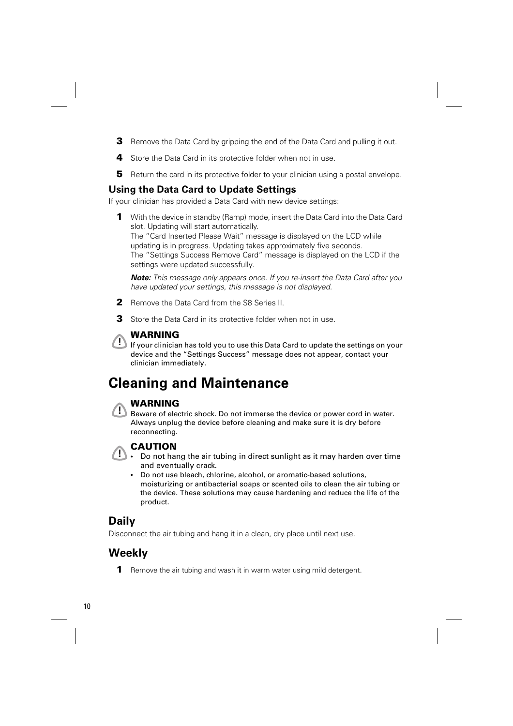- **3** Remove the Data Card by gripping the end of the Data Card and pulling it out.
- **4** Store the Data Card in its protective folder when not in use.
- **5** Return the card in its protective folder to your clinician using a postal envelope.

### **Using the Data Card to Update Settings**

If your clinician has provided a Data Card with new device settings:

**1** With the device in standby (Ramp) mode, insert the Data Card into the Data Card slot. Updating will start automatically. The "Card Inserted Please Wait" message is displayed on the LCD while updating is in progress. Updating takes approximately five seconds. The "Settings Success Remove Card" message is displayed on the LCD if the settings were updated successfully.

*Note:* This message only appears once. If you re-insert the Data Card after you have updated your settings, this message is not displayed.

- **2** Remove the Data Card from the S8 Series II.
- **3** Store the Data Card in its protective folder when not in use.



**! WARNING** If your clinician has told you to use this Data Card to update the settings on your device and the "Settings Success" message does not appear, contact your clinician immediately.

## **Cleaning and Maintenance**



**! WARNING** Beware of electric shock. Do not immerse the device or power cord in water. Always unplug the device before cleaning and make sure it is dry before reconnecting.



- **CAUTION**<br>
 Do not hang the air tubing in direct sunlight as it may harden over time and eventually crack.
	- Do not use bleach, chlorine, alcohol, or aromatic-based solutions, moisturizing or antibacterial soaps or scented oils to clean the air tubing or the device. These solutions may cause hardening and reduce the life of the product.

## **Daily**

Disconnect the air tubing and hang it in a clean, dry place until next use.

## **Weekly**

**1** Remove the air tubing and wash it in warm water using mild detergent.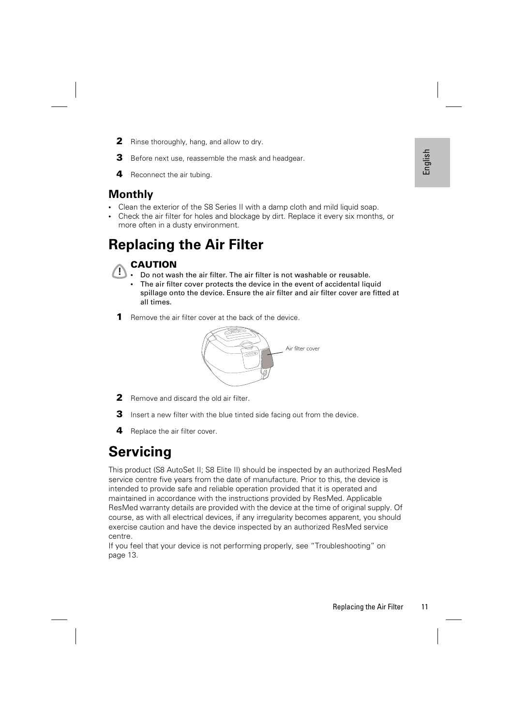- **2** Rinse thoroughly, hang, and allow to dry.
- **3** Before next use, reassemble the mask and headgear.
- **4** Reconnect the air tubing.

### **Monthly**

- Clean the exterior of the S8 Series II with a damp cloth and mild liquid soap.
- Check the air filter for holes and blockage by dirt. Replace it every six months, or more often in a dusty environment.

## **Replacing the Air Filter**

## **! CAUTION**

- Do not wash the air filter. The air filter is not washable or reusable.
- The air filter cover protects the device in the event of accidental liquid spillage onto the device. Ensure the air filter and air filter cover are fitted at all times.
- **1** Remove the air filter cover at the back of the device.



- **2** Remove and discard the old air filter.
- **3** Insert a new filter with the blue tinted side facing out from the device.
- **4** Replace the air filter cover.

## **Servicing**

replacing the Air Filter<br>
Replacing the Air Filter<br>
Sidental liquid<br>
The Air Filter of the Air Filter<br>
Sidental liquid<br>
The Air Filter<br>
Sident, year Air Filter<br>
The Air Filter<br>
The Air Filter<br>
Replacing the Air Filter<br>
11<br> This product (S8 AutoSet II; S8 Elite II) should be inspected by an authorized ResMed service centre five years from the date of manufacture. Prior to this, the device is intended to provide safe and reliable operation provided that it is operated and maintained in accordance with the instructions provided by ResMed. Applicable ResMed warranty details are provided with the device at the time of original supply. Of course, as with all electrical devices, if any irregularity becomes apparent, you should exercise caution and have the device inspected by an authorized ResMed service centre.

If you feel that your device is not performing properly, see "Troubleshooting" on page 13.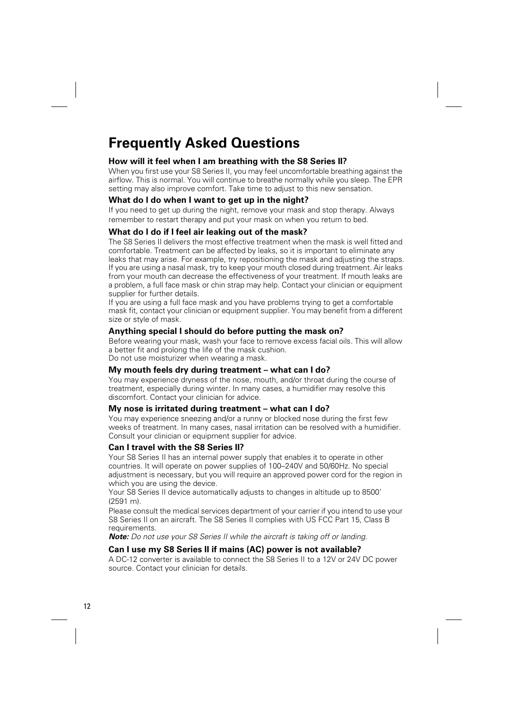## **Frequently Asked Questions**

### **How will it feel when I am breathing with the S8 Series II?**

When you first use your S8 Series II, you may feel uncomfortable breathing against the airflow. This is normal. You will continue to breathe normally while you sleep. The EPR setting may also improve comfort. Take time to adjust to this new sensation.

### **What do I do when I want to get up in the night?**

If you need to get up during the night, remove your mask and stop therapy. Always remember to restart therapy and put your mask on when you return to bed.

### **What do I do if I feel air leaking out of the mask?**

The S8 Series II delivers the most effective treatment when the mask is well fitted and comfortable. Treatment can be affected by leaks, so it is important to eliminate any leaks that may arise. For example, try repositioning the mask and adjusting the straps. If you are using a nasal mask, try to keep your mouth closed during treatment. Air leaks from your mouth can decrease the effectiveness of your treatment. If mouth leaks are a problem, a full face mask or chin strap may help. Contact your clinician or equipment supplier for further details.

If you are using a full face mask and you have problems trying to get a comfortable mask fit, contact your clinician or equipment supplier. You may benefit from a different size or style of mask.

### **Anything special I should do before putting the mask on?**

Before wearing your mask, wash your face to remove excess facial oils. This will allow a better fit and prolong the life of the mask cushion. Do not use moisturizer when wearing a mask.

### **My mouth feels dry during treatment – what can I do?**

You may experience dryness of the nose, mouth, and/or throat during the course of treatment, especially during winter. In many cases, a humidifier may resolve this discomfort. Contact your clinician for advice.

### **My nose is irritated during treatment – what can I do?**

You may experience sneezing and/or a runny or blocked nose during the first few weeks of treatment. In many cases, nasal irritation can be resolved with a humidifier. Consult your clinician or equipment supplier for advice.

### **Can I travel with the S8 Series II?**

Your S8 Series II has an internal power supply that enables it to operate in other countries. It will operate on power supplies of 100–240V and 50/60Hz. No special adjustment is necessary, but you will require an approved power cord for the region in which you are using the device.

Your S8 Series II device automatically adjusts to changes in altitude up to 8500' (2591 m).

Please consult the medical services department of your carrier if you intend to use your S8 Series II on an aircraft. The S8 Series II complies with US FCC Part 15, Class B requirements.

*Note:* Do not use your S8 Series II while the aircraft is taking off or landing.

### **Can I use my S8 Series II if mains (AC) power is not available?**

A DC-12 converter is available to connect the S8 Series II to a 12V or 24V DC power source. Contact your clinician for details.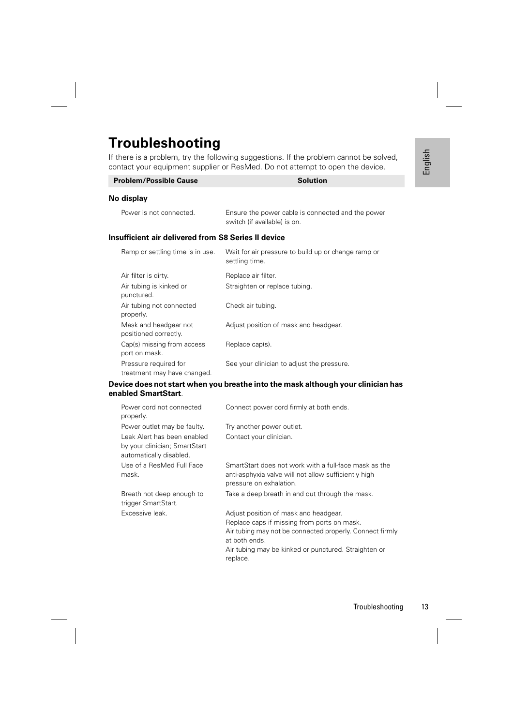## **Troubleshooting**

| <b>Problem/Possible Cause</b>                       | <b>Solution</b>                                                                   |  |  |
|-----------------------------------------------------|-----------------------------------------------------------------------------------|--|--|
| No display                                          |                                                                                   |  |  |
| Power is not connected.                             | Ensure the power cable is connected and the power<br>switch (if available) is on. |  |  |
| Insufficient air delivered from S8 Series II device |                                                                                   |  |  |
| Ramp or settling time is in use.                    | Wait for air pressure to build up or change ramp or<br>settling time.             |  |  |
| Air filter is dirty.                                | Replace air filter.                                                               |  |  |
| Air tubing is kinked or<br>punctured.               | Straighten or replace tubing.                                                     |  |  |
| Air tubing not connected<br>properly.               | Check air tubing.                                                                 |  |  |
| Mask and headgear not<br>positioned correctly.      | Adjust position of mask and headgear.                                             |  |  |
| Cap(s) missing from access<br>port on mask.         | Replace cap(s).                                                                   |  |  |
| Pressure required for                               | See your clinician to adjust the pressure.                                        |  |  |

### **Device does not start when you breathe into the mask although your clinician has enabled SmartStart**.

|                                                                                                                        | there is a problem, try the following suggestions. If the problem cannot be solved,<br>ntact your equipment supplier or ResMed. Do not attempt to open the device.                                                                    | English |
|------------------------------------------------------------------------------------------------------------------------|---------------------------------------------------------------------------------------------------------------------------------------------------------------------------------------------------------------------------------------|---------|
| Problem/Possible Cause                                                                                                 | <b>Solution</b>                                                                                                                                                                                                                       |         |
| o display                                                                                                              |                                                                                                                                                                                                                                       |         |
| Power is not connected.                                                                                                | Ensure the power cable is connected and the power<br>switch (if available) is on.                                                                                                                                                     |         |
| sufficient air delivered from S8 Series II device                                                                      |                                                                                                                                                                                                                                       |         |
| Ramp or settling time is in use.                                                                                       | Wait for air pressure to build up or change ramp or<br>settling time.                                                                                                                                                                 |         |
| Air filter is dirty.<br>Air tubing is kinked or<br>punctured.                                                          | Replace air filter.<br>Straighten or replace tubing.                                                                                                                                                                                  |         |
| Air tubing not connected<br>properly.<br>Mask and headgear not                                                         | Check air tubing.<br>Adjust position of mask and headgear.                                                                                                                                                                            |         |
| positioned correctly.<br>Cap(s) missing from access<br>port on mask.                                                   | Replace cap(s).                                                                                                                                                                                                                       |         |
| Pressure required for<br>treatment may have changed.                                                                   | See your clinician to adjust the pressure.                                                                                                                                                                                            |         |
| iabled SmartStart.                                                                                                     | evice does not start when you breathe into the mask although your clinician has                                                                                                                                                       |         |
| Power cord not connected<br>properly.                                                                                  | Connect power cord firmly at both ends.                                                                                                                                                                                               |         |
| Power outlet may be faulty.<br>Leak Alert has been enabled<br>by your clinician; SmartStart<br>automatically disabled. | Try another power outlet.<br>Contact your clinician.                                                                                                                                                                                  |         |
| Use of a ResMed Full Face<br>mask.                                                                                     | SmartStart does not work with a full-face mask as the<br>anti-asphyxia valve will not allow sufficiently high<br>pressure on exhalation.                                                                                              |         |
| Breath not deep enough to<br>trigger SmartStart.                                                                       | Take a deep breath in and out through the mask.                                                                                                                                                                                       |         |
| Excessive leak.                                                                                                        | Adjust position of mask and headgear.<br>Replace caps if missing from ports on mask.<br>Air tubing may not be connected properly. Connect firmly<br>at both ends.<br>Air tubing may be kinked or punctured. Straighten or<br>replace. |         |
|                                                                                                                        | Troubleshooting                                                                                                                                                                                                                       | 13      |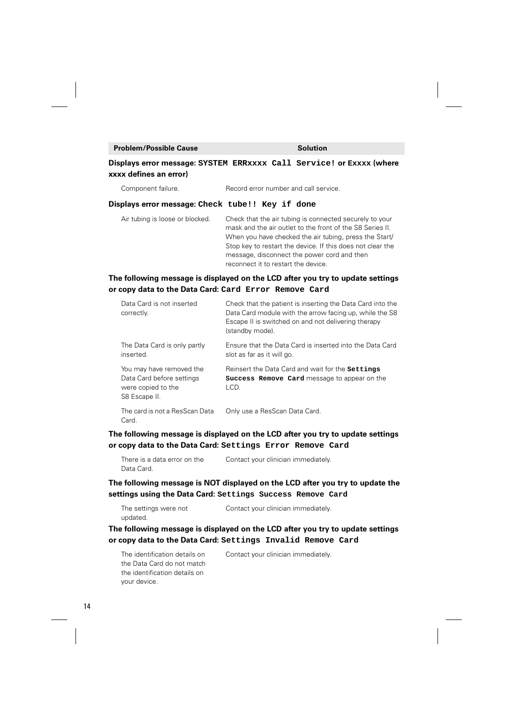### **Problem/Possible Cause Solution**

### **Displays error message: SYSTEM ERRxxxx Call Service! or Exxxx (where xxxx defines an error)**

Component failure. Record error number and call service.

### **Displays error message: Check tube!! Key if done**

Air tubing is loose or blocked. Check that the air tubing is connected securely to your mask and the air outlet to the front of the S8 Series II. When you have checked the air tubing, press the Start/ Stop key to restart the device. If this does not clear the message, disconnect the power cord and then reconnect it to restart the device.

### **The following message is displayed on the LCD after you try to update settings or copy data to the Data Card: Card Error Remove Card**

| Data Card is not inserted<br>correctly.                                                      | Check that the patient is inserting the Data Card into the<br>Data Card module with the arrow facing up, while the S8<br>Escape II is switched on and not delivering therapy<br>(standby mode). |
|----------------------------------------------------------------------------------------------|-------------------------------------------------------------------------------------------------------------------------------------------------------------------------------------------------|
| The Data Card is only partly<br>inserted.                                                    | Ensure that the Data Card is inserted into the Data Card<br>slot as far as it will go.                                                                                                          |
| You may have removed the<br>Data Card before settings<br>were copied to the<br>S8 Escape II. | Reinsert the Data Card and wait for the settings<br><b>Success Remove Card</b> message to appear on the<br>LCD.                                                                                 |
| The card is not a ResScan Data<br>Card.                                                      | Only use a ResScan Data Card.                                                                                                                                                                   |

### **The following message is displayed on the LCD after you try to update settings or copy data to the Data Card: Settings Error Remove Card**

| There is a data error on the | Contact your clinician immediately. |
|------------------------------|-------------------------------------|
| Data Card.                   |                                     |

### **The following message is NOT displayed on the LCD after you try to update the settings using the Data Card: Settings Success Remove Card**

The settings were not updated. Contact your clinician immediately.

### **The following message is displayed on the LCD after you try to update settings or copy data to the Data Card: Settings Invalid Remove Card**

The identification details on the Data Card do not match the identification details on Contact your clinician immediately.

your device.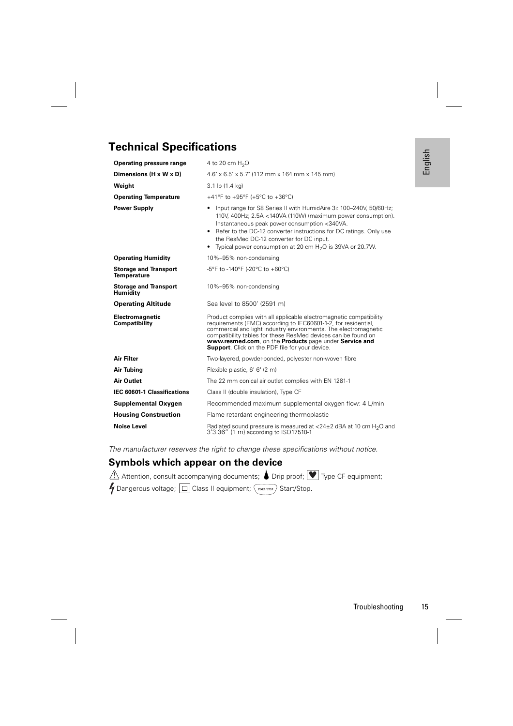# English

### **Technical Specifications**

| <b>Operating pressure range</b>                    | 4 to 20 cm $H_2O$                                                                                                                                                                                                                                                                                                                                                                             | Engles |
|----------------------------------------------------|-----------------------------------------------------------------------------------------------------------------------------------------------------------------------------------------------------------------------------------------------------------------------------------------------------------------------------------------------------------------------------------------------|--------|
| Dimensions (H x W x D)                             | $4.6" \times 6.5" \times 5.7"$ (112 mm $\times$ 164 mm $\times$ 145 mm)                                                                                                                                                                                                                                                                                                                       |        |
| Weight                                             | 3.1 lb $(1.4 \text{ kg})$                                                                                                                                                                                                                                                                                                                                                                     |        |
| <b>Operating Temperature</b>                       | +41°F to +95°F (+5°C to +36°C)                                                                                                                                                                                                                                                                                                                                                                |        |
| <b>Power Supply</b>                                | Input range for S8 Series II with HumidAire 3i: 100-240V, 50/60Hz;<br>110V, 400Hz; 2.5A <140VA (110W) (maximum power consumption).<br>Instantaneous peak power consumption <340VA.<br>• Refer to the DC-12 converter instructions for DC ratings. Only use<br>the ResMed DC-12 converter for DC input.<br>• Typical power consumption at 20 cm $H2O$ is 39VA or 20.7W.                        |        |
| <b>Operating Humidity</b>                          | 10%-95% non-condensing                                                                                                                                                                                                                                                                                                                                                                        |        |
| <b>Storage and Transport</b><br><b>Temperature</b> | -5°F to -140°F (-20°C to +60°C)                                                                                                                                                                                                                                                                                                                                                               |        |
| <b>Storage and Transport</b><br><b>Humidity</b>    | 10%-95% non-condensing                                                                                                                                                                                                                                                                                                                                                                        |        |
| <b>Operating Altitude</b>                          | Sea level to 8500' (2591 m)                                                                                                                                                                                                                                                                                                                                                                   |        |
| Electromagnetic<br>Compatibility                   | Product complies with all applicable electromagnetic compatibility<br>requirements (EMC) according to IEC60601-1-2, for residential,<br>commercial and light industry environments. The electromagnetic<br>compatibility tables for these ResMed devices can be found on<br>www.resmed.com, on the Products page under Service and<br><b>Support</b> . Click on the PDF file for your device. |        |
| <b>Air Filter</b>                                  | Two-layered, powder-bonded, polyester non-woven fibre                                                                                                                                                                                                                                                                                                                                         |        |
| Air Tubing                                         | Flexible plastic, 6' 6" (2 m)                                                                                                                                                                                                                                                                                                                                                                 |        |
| <b>Air Outlet</b>                                  | The 22 mm conical air outlet complies with EN 1281-1                                                                                                                                                                                                                                                                                                                                          |        |
| <b>IEC 60601-1 Classifications</b>                 | Class II (double insulation), Type CF                                                                                                                                                                                                                                                                                                                                                         |        |
| Supplemental Oxygen                                | Recommended maximum supplemental oxygen flow: 4 L/min                                                                                                                                                                                                                                                                                                                                         |        |
| <b>Housing Construction</b>                        | Flame retardant engineering thermoplastic                                                                                                                                                                                                                                                                                                                                                     |        |
| <b>Noise Level</b>                                 | Radiated sound pressure is measured at $<$ 24 $\pm$ 2 dBA at 10 cm H <sub>2</sub> O and<br>3'3.36" (1 m) according to ISO17510-1                                                                                                                                                                                                                                                              |        |
|                                                    | The manufacturer reserves the right to change these specifications without notice.                                                                                                                                                                                                                                                                                                            |        |
| Symbols which appear on the device                 |                                                                                                                                                                                                                                                                                                                                                                                               |        |
|                                                    | Attention, consult accompanying documents; $\bullet$ Drip proof; $[\blacktriangledown]$ Type CF equipment;                                                                                                                                                                                                                                                                                    |        |
|                                                    | Dangerous voltage; $ \square $ Class II equipment; $\sqrt{\frac{S\text{ TART/STOP}}{S\text{ TART/STOP}}}$ Start/Stop.                                                                                                                                                                                                                                                                         |        |
|                                                    |                                                                                                                                                                                                                                                                                                                                                                                               |        |
|                                                    |                                                                                                                                                                                                                                                                                                                                                                                               |        |
|                                                    |                                                                                                                                                                                                                                                                                                                                                                                               |        |
|                                                    |                                                                                                                                                                                                                                                                                                                                                                                               |        |
|                                                    |                                                                                                                                                                                                                                                                                                                                                                                               |        |
|                                                    |                                                                                                                                                                                                                                                                                                                                                                                               |        |
|                                                    |                                                                                                                                                                                                                                                                                                                                                                                               |        |
|                                                    |                                                                                                                                                                                                                                                                                                                                                                                               |        |
|                                                    | Troubleshooting                                                                                                                                                                                                                                                                                                                                                                               | 15     |

### **Symbols which appear on the device**

| Attention, consult accompanying documents; $\bullet$ Drip proof; $\blacktriangledown$ Type CF equipment;              |  |  |
|-----------------------------------------------------------------------------------------------------------------------|--|--|
| $\bigvee$ Dangerous voltage; $\boxed{\Box}$ Class II equipment; $\boxed{\tiny{\tiny\textsf{start/sroP}}}$ Start/Stop. |  |  |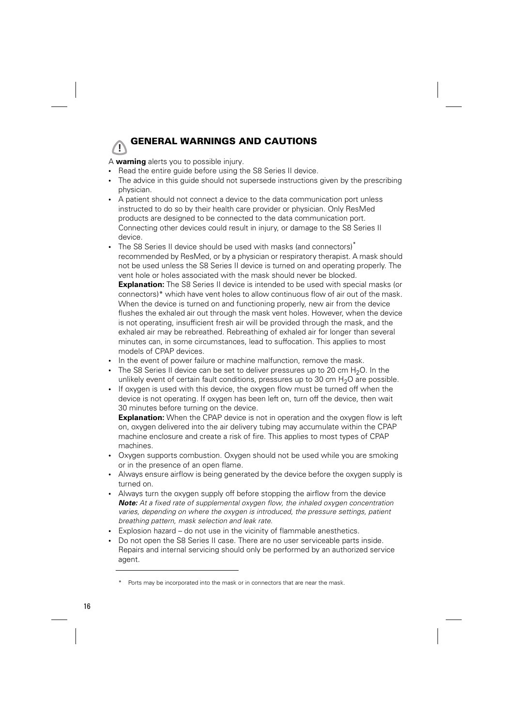## **! GENERAL WARNINGS AND CAUTIONS**

A **warning** alerts you to possible injury.

- Read the entire guide before using the S8 Series II device.
- The advice in this guide should not supersede instructions given by the prescribing physician.
- A patient should not connect a device to the data communication port unless instructed to do so by their health care provider or physician. Only ResMed products are designed to be connected to the data communication port. Connecting other devices could result in injury, or damage to the S8 Series II device.
- The S8 Series II device should be used with masks (and connectors)<sup>\*</sup> recommended by ResMed, or by a physician or respiratory therapist. A mask should not be used unless the S8 Series II device is turned on and operating properly. The vent hole or holes associated with the mask should never be blocked.

**Explanation:** The S8 Series II device is intended to be used with special masks (or connectors)\* which have vent holes to allow continuous flow of air out of the mask. When the device is turned on and functioning properly, new air from the device flushes the exhaled air out through the mask vent holes. However, when the device is not operating, insufficient fresh air will be provided through the mask, and the exhaled air may be rebreathed. Rebreathing of exhaled air for longer than several minutes can, in some circumstances, lead to suffocation. This applies to most models of CPAP devices.

- In the event of power failure or machine malfunction, remove the mask.
- The S8 Series II device can be set to deliver pressures up to 20 cm  $H_2O$ . In the unlikely event of certain fault conditions, pressures up to 30 cm  $H_2O$  are possible.
- If oxygen is used with this device, the oxygen flow must be turned off when the device is not operating. If oxygen has been left on, turn off the device, then wait 30 minutes before turning on the device.

**Explanation:** When the CPAP device is not in operation and the oxygen flow is left on, oxygen delivered into the air delivery tubing may accumulate within the CPAP machine enclosure and create a risk of fire. This applies to most types of CPAP machines.

- Oxygen supports combustion. Oxygen should not be used while you are smoking or in the presence of an open flame.
- Always ensure airflow is being generated by the device before the oxygen supply is turned on.
- Always turn the oxygen supply off before stopping the airflow from the device **Note:** At a fixed rate of supplemental oxygen flow, the inhaled oxygen concentration varies, depending on where the oxygen is introduced, the pressure settings, patient breathing pattern, mask selection and leak rate.
- Explosion hazard do not use in the vicinity of flammable anesthetics.
- Do not open the S8 Series II case. There are no user serviceable parts inside. Repairs and internal servicing should only be performed by an authorized service agent.

Ports may be incorporated into the mask or in connectors that are near the mask.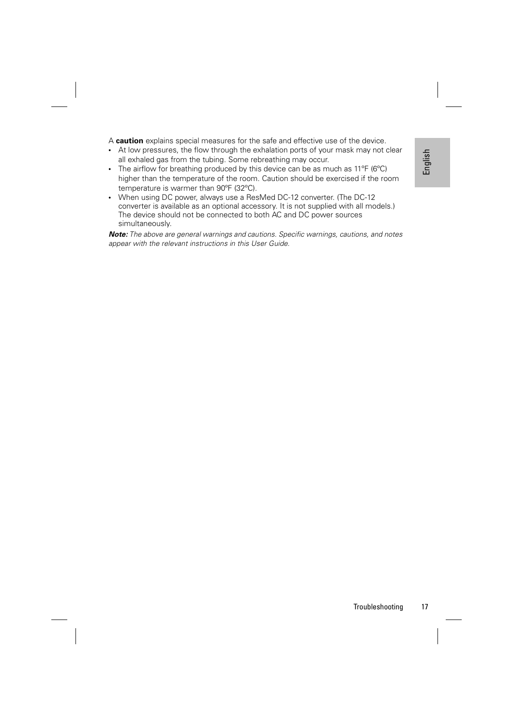A **caution** explains special measures for the safe and effective use of the device.

- At low pressures, the flow through the exhalation ports of your mask may not clear all exhaled gas from the tubing. Some rebreathing may occur.
- The airflow for breathing produced by this device can be as much as  $11^{\circ}$ F (6 $^{\circ}$ C) higher than the temperature of the room. Caution should be exercised if the room temperature is warmer than 90ºF (32ºC).
- Tray not clear<br>
11°F (6°C)<br>
d if the room<br>
DC-12<br>
all models.)<br>
sions, and notes<br>
Troubleshooting<br>
Troubleshooting<br>
17 • When using DC power, always use a ResMed DC-12 converter. (The DC-12 converter is available as an optional accessory. It is not supplied with all models.) The device should not be connected to both AC and DC power sources simultaneously.

**Note:** The above are general warnings and cautions. Specific warnings, cautions, and notes appear with the relevant instructions in this User Guide.